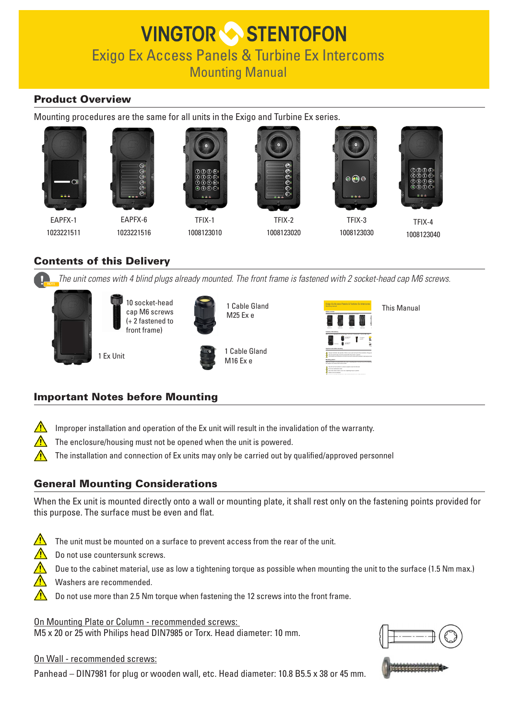# **VINGTOR STENTOFON** Exigo Ex Access Panels & Turbine Ex Intercoms Mounting Manual

# Product Overview

Mounting procedures are the same for all units in the Exigo and Turbine Ex series.





EAPFX-1 1023221511





TFIX-1 1008123010



TFIX-2 1008123020



TFIX-3 1008123030



TFIX-4 1008123040

# Contents of this Delivery

*The unit comes with 4 blind plugs already mounted. The front frame is fastened with 2 socket-head cap M6 screws.*



10 socket-head cap M6 screws (+ 2 fastened to front frame)





1 Cable Gland M25 Ex e

1 Cable Gland M16 Ex e



This Manual

# Important Notes before Mounting

 $\sqrt{N}$ Improper installation and operation of the Ex unit will result in the invalidation of the warranty.

The enclosure/housing must not be opened when the unit is powered.

The installation and connection of Ex units may only be carried out by qualified/approved personnel

# General Mounting Considerations

When the Ex unit is mounted directly onto a wall or mounting plate, it shall rest only on the fastening points provided for this purpose. The surface must be even and flat.

- $\bigwedge$ The unit must be mounted on a surface to prevent access from the rear of the unit.
	- Do not use countersunk screws.

Due to the cabinet material, use as low a tightening torque as possible when mounting the unit to the surface (1.5 Nm max.)

- Washers are recommended.
	- Do not use more than 2.5 Nm torque when fastening the 12 screws into the front frame.

On Mounting Plate or Column - recommended screws: M5 x 20 or 25 with Philips head DIN7985 or Torx. Head diameter: 10 mm.

On Wall - recommended screws:

Panhead – DIN7981 for plug or wooden wall, etc. Head diameter: 10.8 B5.5 x 38 or 45 mm.



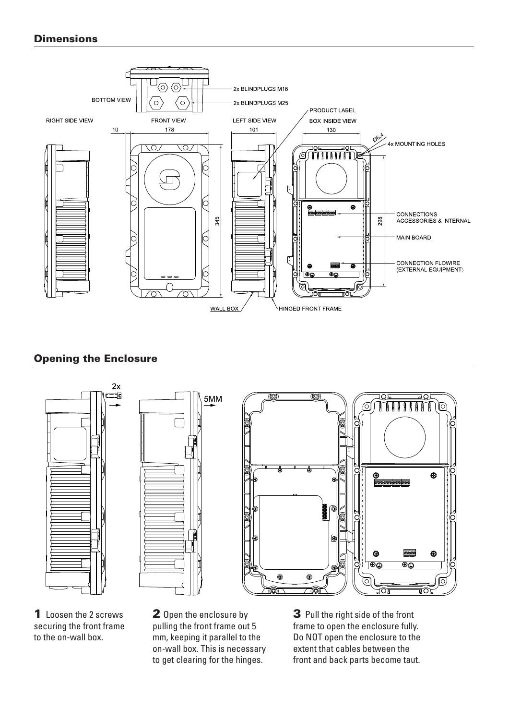# **Dimensions**



# Opening the Enclosure



1 Loosen the 2 screws securing the front frame to the on-wall box.

2 Open the enclosure by pulling the front frame out 5 mm, keeping it parallel to the on-wall box. This is necessary to get clearing for the hinges.

3 Pull the right side of the front frame to open the enclosure fully. Do NOT open the enclosure to the extent that cables between the front and back parts become taut.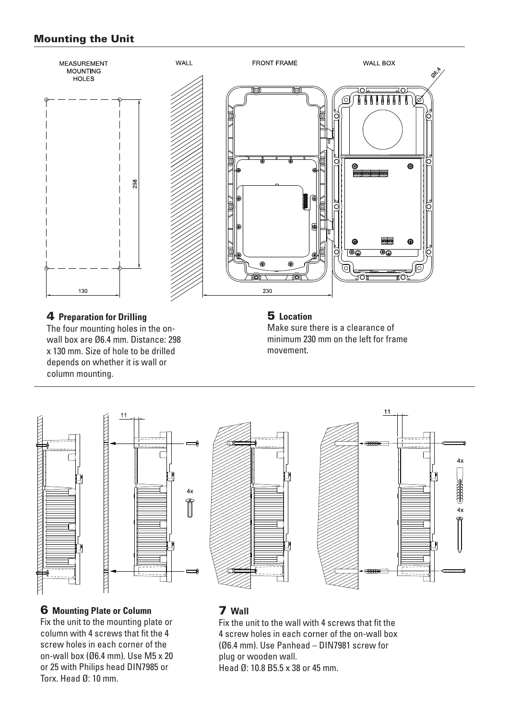## Mounting the Unit



#### 4 **Preparation for Drilling**

The four mounting holes in the onwall box are Ø6.4 mm. Distance: 298 x 130 mm. Size of hole to be drilled depends on whether it is wall or column mounting.

## 5 **Location**

Make sure there is a clearance of minimum 230 mm on the left for frame movement.



# 6 **Mounting Plate or Column**

Fix the unit to the mounting plate or column with 4 screws that fit the 4 screw holes in each corner of the on-wall box (Ø6.4 mm). Use M5 x 20 or 25 with Philips head DIN7985 or Torx. Head Ø: 10 mm.

### 7 **Wall**

Fix the unit to the wall with 4 screws that fit the 4 screw holes in each corner of the on-wall box (Ø6.4 mm). Use Panhead – DIN7981 screw for plug or wooden wall. Head Ø: 10.8 B5.5 x 38 or 45 mm.